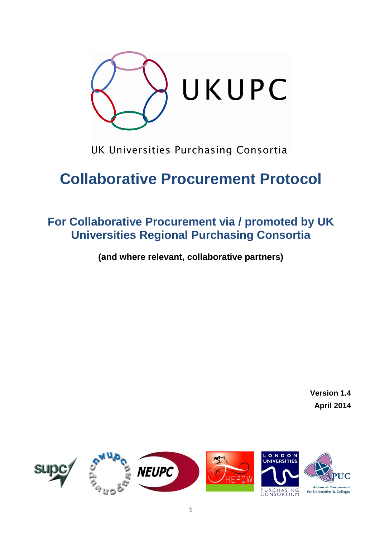

UK Universities Purchasing Consortia

# **Collaborative Procurement Protocol**

## **For Collaborative Procurement via / promoted by UK Universities Regional Purchasing Consortia**

**(and where relevant, collaborative partners)**

**Version 1.4 April 2014**

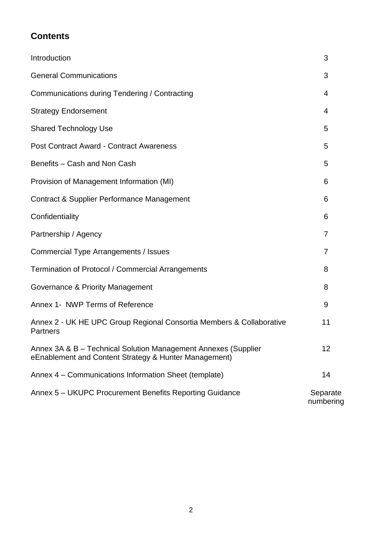## **Contents**

| Introduction                                                                                                            | 3                     |
|-------------------------------------------------------------------------------------------------------------------------|-----------------------|
| <b>General Communications</b>                                                                                           | 3                     |
| Communications during Tendering / Contracting                                                                           | 4                     |
| <b>Strategy Endorsement</b>                                                                                             | 4                     |
| <b>Shared Technology Use</b>                                                                                            | 5                     |
| <b>Post Contract Award - Contract Awareness</b>                                                                         | 5                     |
| Benefits - Cash and Non Cash                                                                                            | 5                     |
| Provision of Management Information (MI)                                                                                | 6                     |
| <b>Contract &amp; Supplier Performance Management</b>                                                                   | 6                     |
| Confidentiality                                                                                                         | 6                     |
| Partnership / Agency                                                                                                    | 7                     |
| Commercial Type Arrangements / Issues                                                                                   | 7                     |
| Termination of Protocol / Commercial Arrangements                                                                       | 8                     |
| Governance & Priority Management                                                                                        | 8                     |
| Annex 1- NWP Terms of Reference                                                                                         | 9                     |
| Annex 2 - UK HE UPC Group Regional Consortia Members & Collaborative<br><b>Partners</b>                                 | 11                    |
| Annex 3A & B - Technical Solution Management Annexes (Supplier<br>eEnablement and Content Strategy & Hunter Management) | 12                    |
| Annex 4 – Communications Information Sheet (template)                                                                   | 14                    |
| Annex 5 – UKUPC Procurement Benefits Reporting Guidance                                                                 | Separate<br>numbering |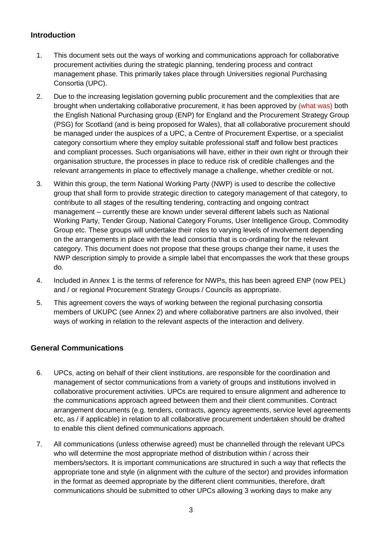## **Introduction**

- 1. This document sets out the ways of working and communications approach for collaborative procurement activities during the strategic planning, tendering process and contract management phase. This primarily takes place through Universities regional Purchasing Consortia (UPC).
- 2. Due to the increasing legislation governing public procurement and the complexities that are brought when undertaking collaborative procurement, it has been approved by (what was) both the English National Purchasing group (ENP) for England and the Procurement Strategy Group (PSG) for Scotland (and is being proposed for Wales), that all collaborative procurement should be managed under the auspices of a UPC, a Centre of Procurement Expertise, or a specialist category consortium where they employ suitable professional staff and follow best practices and compliant processes. Such organisations will have, either in their own right or through their organisation structure, the processes in place to reduce risk of credible challenges and the relevant arrangements in place to effectively manage a challenge, whether credible or not.
- 3. Within this group, the term National Working Party (NWP) is used to describe the collective group that shall form to provide strategic direction to category management of that category, to contribute to all stages of the resulting tendering, contracting and ongoing contract management – currently these are known under several different labels such as National Working Party, Tender Group, National Category Forums, User Intelligence Group, Commodity Group etc. These groups will undertake their roles to varying levels of involvement depending on the arrangements in place with the lead consortia that is co-ordinating for the relevant category. This document does not propose that these groups change their name, it uses the NWP description simply to provide a simple label that encompasses the work that these groups do.
- 4. Included in Annex 1 is the terms of reference for NWPs, this has been agreed ENP (now PEL) and / or regional Procurement Strategy Groups / Councils as appropriate.
- 5. This agreement covers the ways of working between the regional purchasing consortia members of UKUPC (see Annex 2) and where collaborative partners are also involved, their ways of working in relation to the relevant aspects of the interaction and delivery.

## **General Communications**

- 6. UPCs, acting on behalf of their client institutions, are responsible for the coordination and management of sector communications from a variety of groups and institutions involved in collaborative procurement activities. UPCs are required to ensure alignment and adherence to the communications approach agreed between them and their client communities. Contract arrangement documents (e.g. tenders, contracts, agency agreements, service level agreements etc, as / if applicable) in relation to all collaborative procurement undertaken should be drafted to enable this client defined communications approach.
- 7. All communications (unless otherwise agreed) must be channelled through the relevant UPCs who will determine the most appropriate method of distribution within / across their members/sectors. It is important communications are structured in such a way that reflects the appropriate tone and style (in alignment with the culture of the sector) and provides information in the format as deemed appropriate by the different client communities, therefore, draft communications should be submitted to other UPCs allowing 3 working days to make any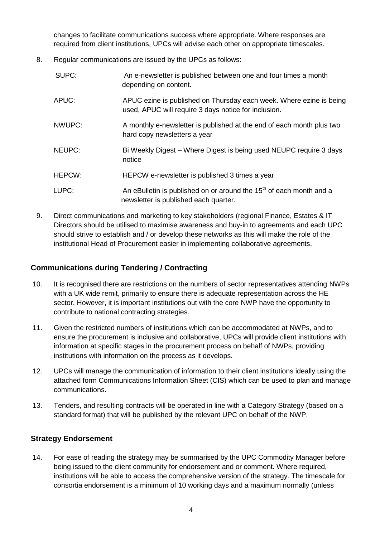changes to facilitate communications success where appropriate. Where responses are required from client institutions, UPCs will advise each other on appropriate timescales.

8. Regular communications are issued by the UPCs as follows:

| SUPC:  | An e-newsletter is published between one and four times a month<br>depending on content.                                    |
|--------|-----------------------------------------------------------------------------------------------------------------------------|
| APUC:  | APUC ezine is published on Thursday each week. Where ezine is being<br>used, APUC will require 3 days notice for inclusion. |
| NWUPC: | A monthly e-newsletter is published at the end of each month plus two<br>hard copy newsletters a year                       |
| NEUPC: | Bi Weekly Digest – Where Digest is being used NEUPC require 3 days<br>notice                                                |
| HEPCW: | HEPCW e-newsletter is published 3 times a year                                                                              |
| LUPC:  | An eBulletin is published on or around the 15 <sup>th</sup> of each month and a<br>newsletter is published each quarter.    |

9. Direct communications and marketing to key stakeholders (regional Finance, Estates & IT Directors should be utilised to maximise awareness and buy-in to agreements and each UPC should strive to establish and / or develop these networks as this will make the role of the institutional Head of Procurement easier in implementing collaborative agreements.

## **Communications during Tendering / Contracting**

- 10. It is recognised there are restrictions on the numbers of sector representatives attending NWPs with a UK wide remit, primarily to ensure there is adequate representation across the HE sector. However, it is important institutions out with the core NWP have the opportunity to contribute to national contracting strategies.
- 11. Given the restricted numbers of institutions which can be accommodated at NWPs, and to ensure the procurement is inclusive and collaborative, UPCs will provide client institutions with information at specific stages in the procurement process on behalf of NWPs, providing institutions with information on the process as it develops.
- 12. UPCs will manage the communication of information to their client institutions ideally using the attached form Communications Information Sheet (CIS) which can be used to plan and manage communications.
- 13. Tenders, and resulting contracts will be operated in line with a Category Strategy (based on a standard format) that will be published by the relevant UPC on behalf of the NWP.

## **Strategy Endorsement**

14. For ease of reading the strategy may be summarised by the UPC Commodity Manager before being issued to the client community for endorsement and or comment. Where required, institutions will be able to access the comprehensive version of the strategy. The timescale for consortia endorsement is a minimum of 10 working days and a maximum normally (unless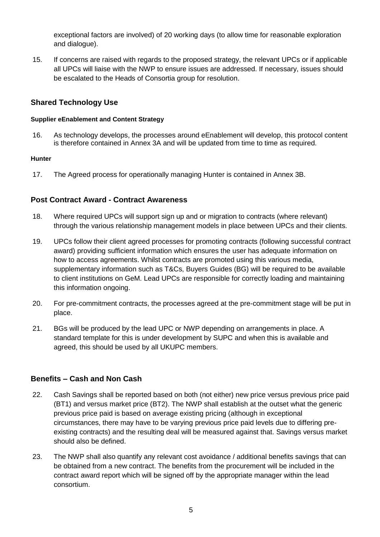exceptional factors are involved) of 20 working days (to allow time for reasonable exploration and dialogue).

15. If concerns are raised with regards to the proposed strategy, the relevant UPCs or if applicable all UPCs will liaise with the NWP to ensure issues are addressed. If necessary, issues should be escalated to the Heads of Consortia group for resolution.

## **Shared Technology Use**

#### **Supplier eEnablement and Content Strategy**

16. As technology develops, the processes around eEnablement will develop, this protocol content is therefore contained in Annex 3A and will be updated from time to time as required.

#### **Hunter**

17. The Agreed process for operationally managing Hunter is contained in Annex 3B.

#### **Post Contract Award - Contract Awareness**

- 18. Where required UPCs will support sign up and or migration to contracts (where relevant) through the various relationship management models in place between UPCs and their clients.
- 19. UPCs follow their client agreed processes for promoting contracts (following successful contract award) providing sufficient information which ensures the user has adequate information on how to access agreements. Whilst contracts are promoted using this various media, supplementary information such as T&Cs, Buyers Guides (BG) will be required to be available to client institutions on GeM. Lead UPCs are responsible for correctly loading and maintaining this information ongoing.
- 20. For pre-commitment contracts, the processes agreed at the pre-commitment stage will be put in place.
- 21. BGs will be produced by the lead UPC or NWP depending on arrangements in place. A standard template for this is under development by SUPC and when this is available and agreed, this should be used by all UKUPC members.

## **Benefits – Cash and Non Cash**

- 22. Cash Savings shall be reported based on both (not either) new price versus previous price paid (BT1) and versus market price (BT2). The NWP shall establish at the outset what the generic previous price paid is based on average existing pricing (although in exceptional circumstances, there may have to be varying previous price paid levels due to differing preexisting contracts) and the resulting deal will be measured against that. Savings versus market should also be defined.
- 23. The NWP shall also quantify any relevant cost avoidance / additional benefits savings that can be obtained from a new contract. The benefits from the procurement will be included in the contract award report which will be signed off by the appropriate manager within the lead consortium.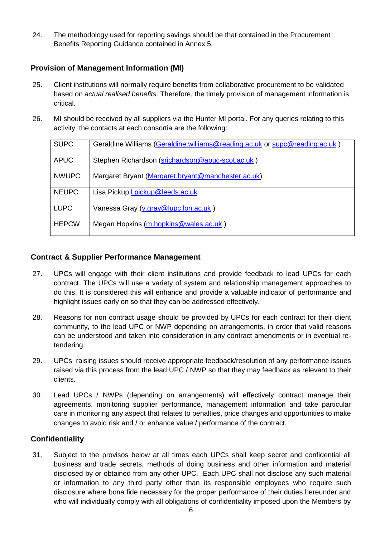24. The methodology used for reporting savings should be that contained in the Procurement Benefits Reporting Guidance contained in Annex 5.

## **Provision of Management Information (MI)**

- 25. Client institutions will normally require benefits from collaborative procurement to be validated based on *actual realised benefits.* Therefore, the timely provision of management information is critical.
- 26. MI should be received by all suppliers via the Hunter MI portal. For any queries relating to this activity, the contacts at each consortia are the following:

| <b>SUPC</b>  | Geraldine Williams (Geraldine.williams@reading.ac.uk or supc@reading.ac.uk) |
|--------------|-----------------------------------------------------------------------------|
| <b>APUC</b>  | Stephen Richardson (srichardson@apuc-scot.ac.uk)                            |
| <b>NWUPC</b> | Margaret Bryant (Margaret.bryant@manchester.ac.uk)                          |
| <b>NEUPC</b> | Lisa Pickup <i>I.pickup@leeds.ac.uk</i>                                     |
| <b>LUPC</b>  | Vanessa Gray (v.gray@lupc.lon.ac.uk)                                        |
| <b>HEPCW</b> | Megan Hopkins (m.hopkins@wales.ac.uk)                                       |

## **Contract & Supplier Performance Management**

- 27. UPCs will engage with their client institutions and provide feedback to lead UPCs for each contract. The UPCs will use a variety of system and relationship management approaches to do this. It is considered this will enhance and provide a valuable indicator of performance and highlight issues early on so that they can be addressed effectively.
- 28. Reasons for non contract usage should be provided by UPCs for each contract for their client community, to the lead UPC or NWP depending on arrangements, in order that valid reasons can be understood and taken into consideration in any contract amendments or in eventual retendering.
- 29. UPCs raising issues should receive appropriate feedback/resolution of any performance issues raised via this process from the lead UPC / NWP so that they may feedback as relevant to their clients.
- 30. Lead UPCs / NWPs (depending on arrangements) will effectively contract manage their agreements, monitoring supplier performance, management information and take particular care in monitoring any aspect that relates to penalties, price changes and opportunities to make changes to avoid risk and / or enhance value / performance of the contract.

## **Confidentiality**

31. Subject to the provisos below at all times each UPCs shall keep secret and confidential all business and trade secrets, methods of doing business and other information and material disclosed by or obtained from any other UPC. Each UPC shall not disclose any such material or information to any third party other than its responsible employees who require such disclosure where bona fide necessary for the proper performance of their duties hereunder and who will individually comply with all obligations of confidentiality imposed upon the Members by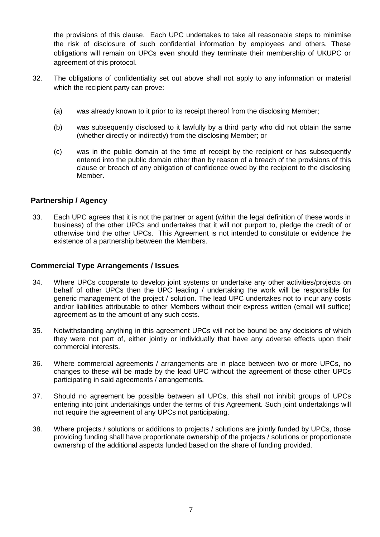the provisions of this clause. Each UPC undertakes to take all reasonable steps to minimise the risk of disclosure of such confidential information by employees and others. These obligations will remain on UPCs even should they terminate their membership of UKUPC or agreement of this protocol.

- 32. The obligations of confidentiality set out above shall not apply to any information or material which the recipient party can prove:
	- (a) was already known to it prior to its receipt thereof from the disclosing Member;
	- (b) was subsequently disclosed to it lawfully by a third party who did not obtain the same (whether directly or indirectly) from the disclosing Member; or
	- (c) was in the public domain at the time of receipt by the recipient or has subsequently entered into the public domain other than by reason of a breach of the provisions of this clause or breach of any obligation of confidence owed by the recipient to the disclosing Member.

## **Partnership / Agency**

33. Each UPC agrees that it is not the partner or agent (within the legal definition of these words in business) of the other UPCs and undertakes that it will not purport to, pledge the credit of or otherwise bind the other UPCs. This Agreement is not intended to constitute or evidence the existence of a partnership between the Members.

## **Commercial Type Arrangements / Issues**

- 34. Where UPCs cooperate to develop joint systems or undertake any other activities/projects on behalf of other UPCs then the UPC leading / undertaking the work will be responsible for generic management of the project / solution. The lead UPC undertakes not to incur any costs and/or liabilities attributable to other Members without their express written (email will suffice) agreement as to the amount of any such costs.
- 35. Notwithstanding anything in this agreement UPCs will not be bound be any decisions of which they were not part of, either jointly or individually that have any adverse effects upon their commercial interests.
- 36. Where commercial agreements / arrangements are in place between two or more UPCs, no changes to these will be made by the lead UPC without the agreement of those other UPCs participating in said agreements / arrangements.
- 37. Should no agreement be possible between all UPCs, this shall not inhibit groups of UPCs entering into joint undertakings under the terms of this Agreement. Such joint undertakings will not require the agreement of any UPCs not participating.
- 38. Where projects / solutions or additions to projects / solutions are jointly funded by UPCs, those providing funding shall have proportionate ownership of the projects / solutions or proportionate ownership of the additional aspects funded based on the share of funding provided.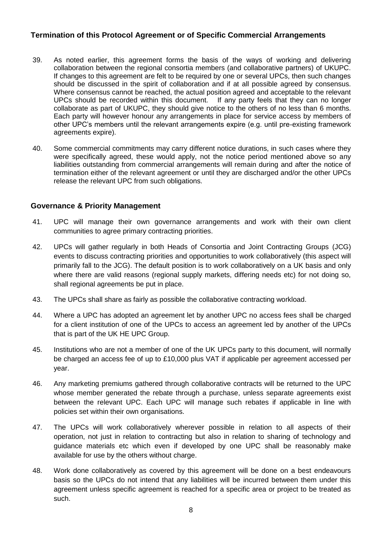## **Termination of this Protocol Agreement or of Specific Commercial Arrangements**

- 39. As noted earlier, this agreement forms the basis of the ways of working and delivering collaboration between the regional consortia members (and collaborative partners) of UKUPC. If changes to this agreement are felt to be required by one or several UPCs, then such changes should be discussed in the spirit of collaboration and if at all possible agreed by consensus. Where consensus cannot be reached, the actual position agreed and acceptable to the relevant UPCs should be recorded within this document. If any party feels that they can no longer collaborate as part of UKUPC, they should give notice to the others of no less than 6 months. Each party will however honour any arrangements in place for service access by members of other UPC's members until the relevant arrangements expire (e.g. until pre-existing framework agreements expire).
- 40. Some commercial commitments may carry different notice durations, in such cases where they were specifically agreed, these would apply, not the notice period mentioned above so any liabilities outstanding from commercial arrangements will remain during and after the notice of termination either of the relevant agreement or until they are discharged and/or the other UPCs release the relevant UPC from such obligations.

#### **Governance & Priority Management**

- 41. UPC will manage their own governance arrangements and work with their own client communities to agree primary contracting priorities.
- 42. UPCs will gather regularly in both Heads of Consortia and Joint Contracting Groups (JCG) events to discuss contracting priorities and opportunities to work collaboratively (this aspect will primarily fall to the JCG). The default position is to work collaboratively on a UK basis and only where there are valid reasons (regional supply markets, differing needs etc) for not doing so, shall regional agreements be put in place.
- 43. The UPCs shall share as fairly as possible the collaborative contracting workload.
- 44. Where a UPC has adopted an agreement let by another UPC no access fees shall be charged for a client institution of one of the UPCs to access an agreement led by another of the UPCs that is part of the UK HE UPC Group.
- 45. Institutions who are not a member of one of the UK UPCs party to this document, will normally be charged an access fee of up to £10,000 plus VAT if applicable per agreement accessed per year.
- 46. Any marketing premiums gathered through collaborative contracts will be returned to the UPC whose member generated the rebate through a purchase, unless separate agreements exist between the relevant UPC. Each UPC will manage such rebates if applicable in line with policies set within their own organisations.
- 47. The UPCs will work collaboratively wherever possible in relation to all aspects of their operation, not just in relation to contracting but also in relation to sharing of technology and guidance materials etc which even if developed by one UPC shall be reasonably make available for use by the others without charge.
- 48. Work done collaboratively as covered by this agreement will be done on a best endeavours basis so the UPCs do not intend that any liabilities will be incurred between them under this agreement unless specific agreement is reached for a specific area or project to be treated as such.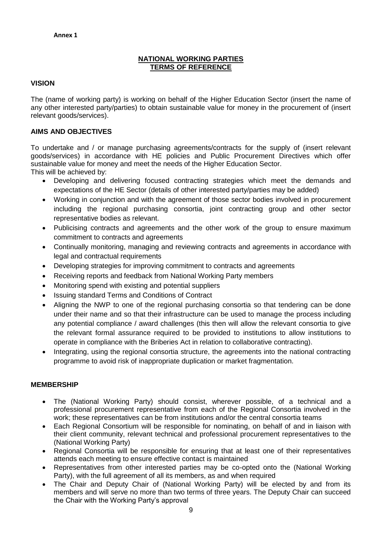## **NATIONAL WORKING PARTIES TERMS OF REFERENCE**

#### **VISION**

The (name of working party) is working on behalf of the Higher Education Sector (insert the name of any other interested party/parties) to obtain sustainable value for money in the procurement of (insert relevant goods/services).

#### **AIMS AND OBJECTIVES**

To undertake and / or manage purchasing agreements/contracts for the supply of (insert relevant goods/services) in accordance with HE policies and Public Procurement Directives which offer sustainable value for money and meet the needs of the Higher Education Sector. This will be achieved by:

- Developing and delivering focused contracting strategies which meet the demands and expectations of the HE Sector (details of other interested party/parties may be added)
- Working in conjunction and with the agreement of those sector bodies involved in procurement including the regional purchasing consortia, joint contracting group and other sector representative bodies as relevant.
- Publicising contracts and agreements and the other work of the group to ensure maximum commitment to contracts and agreements
- Continually monitoring, managing and reviewing contracts and agreements in accordance with legal and contractual requirements
- Developing strategies for improving commitment to contracts and agreements
- Receiving reports and feedback from National Working Party members
- Monitoring spend with existing and potential suppliers
- Issuing standard Terms and Conditions of Contract
- Aligning the NWP to one of the regional purchasing consortia so that tendering can be done under their name and so that their infrastructure can be used to manage the process including any potential compliance / award challenges (this then will allow the relevant consortia to give the relevant formal assurance required to be provided to institutions to allow institutions to operate in compliance with the Briberies Act in relation to collaborative contracting).
- Integrating, using the regional consortia structure, the agreements into the national contracting programme to avoid risk of inappropriate duplication or market fragmentation.

#### **MEMBERSHIP**

- The (National Working Party) should consist, wherever possible, of a technical and a professional procurement representative from each of the Regional Consortia involved in the work; these representatives can be from institutions and/or the central consortia teams
- Each Regional Consortium will be responsible for nominating, on behalf of and in liaison with their client community, relevant technical and professional procurement representatives to the (National Working Party)
- Regional Consortia will be responsible for ensuring that at least one of their representatives attends each meeting to ensure effective contact is maintained
- Representatives from other interested parties may be co-opted onto the (National Working Party), with the full agreement of all its members, as and when required
- The Chair and Deputy Chair of (National Working Party) will be elected by and from its members and will serve no more than two terms of three years. The Deputy Chair can succeed the Chair with the Working Party's approval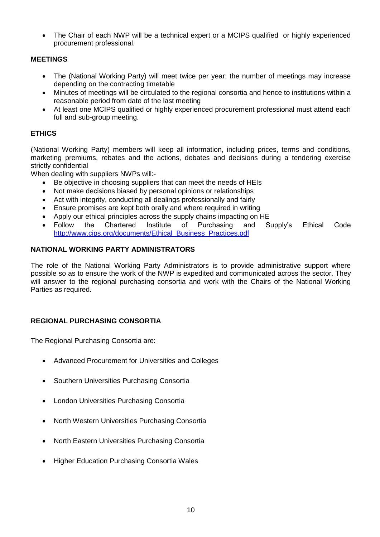The Chair of each NWP will be a technical expert or a MCIPS qualified or highly experienced procurement professional.

#### **MEETINGS**

- The (National Working Party) will meet twice per year; the number of meetings may increase depending on the contracting timetable
- Minutes of meetings will be circulated to the regional consortia and hence to institutions within a reasonable period from date of the last meeting
- At least one MCIPS qualified or highly experienced procurement professional must attend each full and sub-group meeting.

## **ETHICS**

(National Working Party) members will keep all information, including prices, terms and conditions, marketing premiums, rebates and the actions, debates and decisions during a tendering exercise strictly confidential

When dealing with suppliers NWPs will:-

- Be objective in choosing suppliers that can meet the needs of HEIs
- Not make decisions biased by personal opinions or relationships
- Act with integrity, conducting all dealings professionally and fairly
- Ensure promises are kept both orally and where required in writing
- Apply our ethical principles across the supply chains impacting on HE
- Follow the Chartered Institute of Purchasing and Supply's Ethical Code [http://www.cips.org/documents/Ethical\\_Business\\_Practices.pdf](http://www.cips.org/documents/Ethical_Business_Practices.pdf)

## **NATIONAL WORKING PARTY ADMINISTRATORS**

The role of the National Working Party Administrators is to provide administrative support where possible so as to ensure the work of the NWP is expedited and communicated across the sector. They will answer to the regional purchasing consortia and work with the Chairs of the National Working Parties as required.

## **REGIONAL PURCHASING CONSORTIA**

The Regional Purchasing Consortia are:

- Advanced Procurement for Universities and Colleges
- Southern Universities Purchasing Consortia
- London Universities Purchasing Consortia
- North Western Universities Purchasing Consortia
- North Eastern Universities Purchasing Consortia
- Higher Education Purchasing Consortia Wales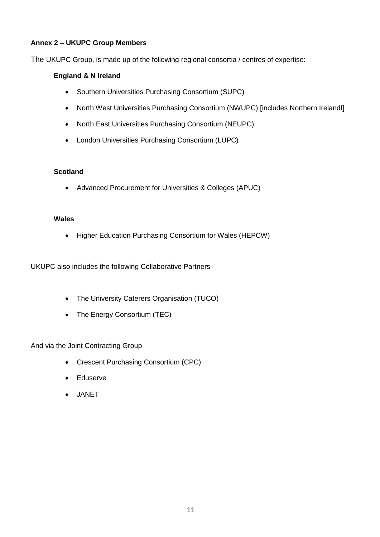## **Annex 2 – UKUPC Group Members**

The UKUPC Group, is made up of the following regional consortia / centres of expertise:

### **England & N Ireland**

- Southern Universities Purchasing Consortium (SUPC)
- North West Universities Purchasing Consortium (NWUPC) [includes Northern IrelandI]
- North East Universities Purchasing Consortium (NEUPC)
- London Universities Purchasing Consortium (LUPC)

#### **Scotland**

Advanced Procurement for Universities & Colleges (APUC)

#### **Wales**

Higher Education Purchasing Consortium for Wales (HEPCW)

UKUPC also includes the following Collaborative Partners

- The University Caterers Organisation (TUCO)
- The Energy Consortium (TEC)

And via the Joint Contracting Group

- Crescent Purchasing Consortium (CPC)
- Eduserve
- JANET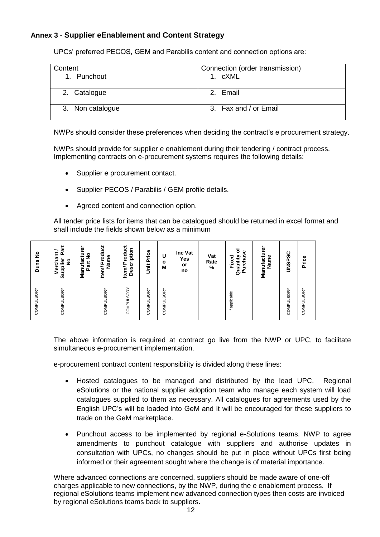## **Annex 3 - Supplier eEnablement and Content Strategy**

UPCs' preferred PECOS, GEM and Parabilis content and connection options are:

| Content          | Connection (order transmission) |
|------------------|---------------------------------|
| Punchout<br>1.   | 1. cXML                         |
| 2. Catalogue     | 2. Email                        |
| 3. Non catalogue | 3. Fax and / or Email           |

NWPs should consider these preferences when deciding the contract's e procurement strategy.

NWPs should provide for supplier e enablement during their tendering / contract process. Implementing contracts on e-procurement systems requires the following details:

- Supplier e procurement contact.
- Supplier PECOS / Parabilis / GEM profile details.
- Agreed content and connection option.

All tender price lists for items that can be catalogued should be returned in excel format and shall include the fields shown below as a minimum

| £<br><b>Duns</b>  | 훤<br>だ<br><b>Mercha</b><br>Supplier<br>$\frac{1}{2}$ | ō<br>Manufactu<br>ş<br>Part | Product<br>Name<br>Item/ | ğ<br>Description<br>Prod<br>ltem/ | Price<br>$\ddot{\tilde{5}}$ | U<br>о<br>М    | Inc Vat<br>Yes<br>or<br>no | Vat<br>Rate<br>$\frac{9}{6}$ | ৳<br>Purchase<br>Quantity<br>Fixed | Manufacturer<br>Name | <b>UNSPSC</b>  | Price          |
|-------------------|------------------------------------------------------|-----------------------------|--------------------------|-----------------------------------|-----------------------------|----------------|----------------------------|------------------------------|------------------------------------|----------------------|----------------|----------------|
| <b>COMPULSORY</b> | <b>COMPULSORY</b>                                    |                             | <b>COMPULSORY</b>        | <b>COMPULSORY</b>                 | SORY<br>COMPUL              | SORY<br>COMPUL |                            |                              | applicable<br>$\equiv$             |                      | SORY<br>COMPUL | SORY<br>COMPUL |

The above information is required at contract go live from the NWP or UPC, to facilitate simultaneous e-procurement implementation.

e-procurement contract content responsibility is divided along these lines:

- Hosted catalogues to be managed and distributed by the lead UPC. Regional eSolutions or the national supplier adoption team who manage each system will load catalogues supplied to them as necessary. All catalogues for agreements used by the English UPC's will be loaded into GeM and it will be encouraged for these suppliers to trade on the GeM marketplace.
- Punchout access to be implemented by regional e-Solutions teams. NWP to agree amendments to punchout catalogue with suppliers and authorise updates in consultation with UPCs, no changes should be put in place without UPCs first being informed or their agreement sought where the change is of material importance.

Where advanced connections are concerned, suppliers should be made aware of one-off charges applicable to new connections, by the NWP, during the e enablement process. If regional eSolutions teams implement new advanced connection types then costs are invoiced by regional eSolutions teams back to suppliers.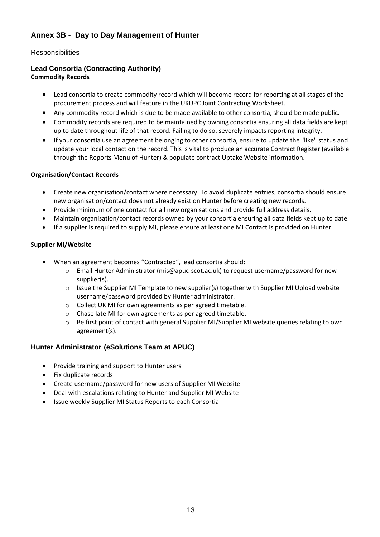## **Annex 3B - Day to Day Management of Hunter**

## **Responsibilities**

#### **Lead Consortia (Contracting Authority) Commodity Records**

- Lead consortia to create commodity record which will become record for reporting at all stages of the procurement process and will feature in the UKUPC Joint Contracting Worksheet.
- Any commodity record which is due to be made available to other consortia, should be made public.
- Commodity records are required to be maintained by owning consortia ensuring all data fields are kept up to date throughout life of that record. Failing to do so, severely impacts reporting integrity.
- If your consortia use an agreement belonging to other consortia, ensure to update the "like" status and update your local contact on the record. This is vital to produce an accurate Contract Register (available through the Reports Menu of Hunter) & populate contract Uptake Website information.

#### **Organisation/Contact Records**

- Create new organisation/contact where necessary. To avoid duplicate entries, consortia should ensure new organisation/contact does not already exist on Hunter before creating new records.
- Provide minimum of one contact for all new organisations and provide full address details.
- Maintain organisation/contact records owned by your consortia ensuring all data fields kept up to date.
- If a supplier is required to supply MI, please ensure at least one MI Contact is provided on Hunter.

#### **Supplier MI/Website**

- When an agreement becomes "Contracted", lead consortia should:
	- o Email Hunter Administrator [\(mis@apuc-scot.ac.uk\)](mailto:mis@apuc-scot.ac.uk) to request username/password for new supplier(s).
	- $\circ$  Issue the Supplier MI Template to new supplier(s) together with Supplier MI Upload website username/password provided by Hunter administrator.
	- o Collect UK MI for own agreements as per agreed timetable.
	- o Chase late MI for own agreements as per agreed timetable.
	- o Be first point of contact with general Supplier MI/Supplier MI website queries relating to own agreement(s).

## **Hunter Administrator (eSolutions Team at APUC)**

- Provide training and support to Hunter users
- Fix duplicate records
- Create username/password for new users of Supplier MI Website
- Deal with escalations relating to Hunter and Supplier MI Website
- Issue weekly Supplier MI Status Reports to each Consortia